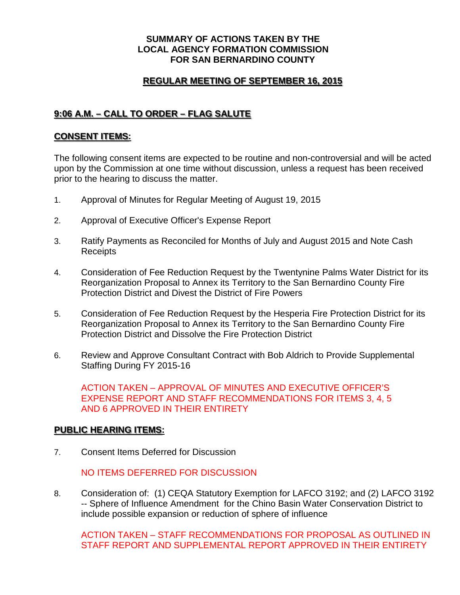## **SUMMARY OF ACTIONS TAKEN BY THE LOCAL AGENCY FORMATION COMMISSION FOR SAN BERNARDINO COUNTY**

# **REGULAR MEETING OF SEPTEMBER 16, 2015**

# **9:06 A.M. – CALL TO ORDER – FLAG SALUTE**

### **CONSENT ITEMS:**

The following consent items are expected to be routine and non-controversial and will be acted upon by the Commission at one time without discussion, unless a request has been received prior to the hearing to discuss the matter.

- 1. Approval of Minutes for Regular Meeting of August 19, 2015
- 2. Approval of Executive Officer's Expense Report
- 3. Ratify Payments as Reconciled for Months of July and August 2015 and Note Cash **Receipts**
- 4. Consideration of Fee Reduction Request by the Twentynine Palms Water District for its Reorganization Proposal to Annex its Territory to the San Bernardino County Fire Protection District and Divest the District of Fire Powers
- 5. Consideration of Fee Reduction Request by the Hesperia Fire Protection District for its Reorganization Proposal to Annex its Territory to the San Bernardino County Fire Protection District and Dissolve the Fire Protection District
- 6. Review and Approve Consultant Contract with Bob Aldrich to Provide Supplemental Staffing During FY 2015-16

ACTION TAKEN – APPROVAL OF MINUTES AND EXECUTIVE OFFICER'S EXPENSE REPORT AND STAFF RECOMMENDATIONS FOR ITEMS 3, 4, 5 AND 6 APPROVED IN THEIR ENTIRETY

#### **PUBLIC HEARING ITEMS:**

7. Consent Items Deferred for Discussion

NO ITEMS DEFERRED FOR DISCUSSION

8. Consideration of: (1) CEQA Statutory Exemption for LAFCO 3192; and (2) LAFCO 3192 -- Sphere of Influence Amendment for the Chino Basin Water Conservation District to include possible expansion or reduction of sphere of influence

ACTION TAKEN – STAFF RECOMMENDATIONS FOR PROPOSAL AS OUTLINED IN STAFF REPORT AND SUPPLEMENTAL REPORT APPROVED IN THEIR ENTIRETY